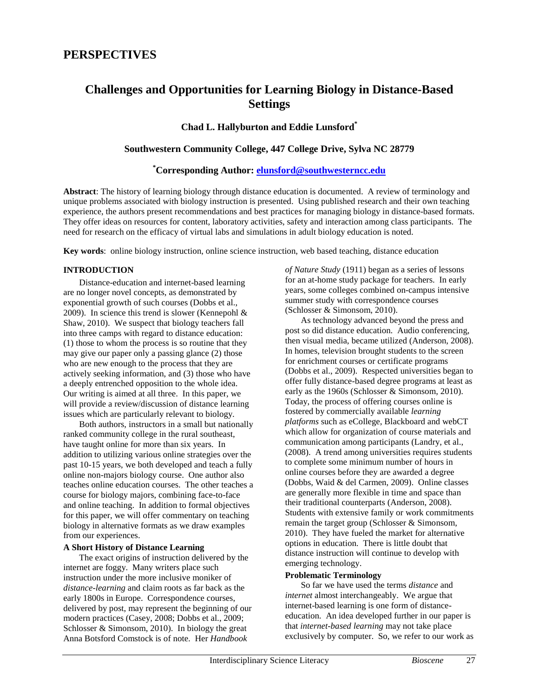# **Challenges and Opportunities for Learning Biology in Distance-Based Settings**

# **Chad L. Hallyburton and Eddie Lunsford\***

# **Southwestern Community College, 447 College Drive, Sylva NC 28779**

# **\* Corresponding Author: [elunsford@southwesterncc.edu](mailto:elunsford@southwesterncc.edu)**

**Abstract**: The history of learning biology through distance education is documented. A review of terminology and unique problems associated with biology instruction is presented. Using published research and their own teaching experience, the authors present recommendations and best practices for managing biology in distance-based formats. They offer ideas on resources for content, laboratory activities, safety and interaction among class participants. The need for research on the efficacy of virtual labs and simulations in adult biology education is noted.

**Key words**: online biology instruction, online science instruction, web based teaching, distance education

# **INTRODUCTION**

Distance-education and internet-based learning are no longer novel concepts, as demonstrated by exponential growth of such courses (Dobbs et al., 2009). In science this trend is slower (Kennepohl  $\&$ Shaw, 2010). We suspect that biology teachers fall into three camps with regard to distance education: (1) those to whom the process is so routine that they may give our paper only a passing glance (2) those who are new enough to the process that they are actively seeking information, and (3) those who have a deeply entrenched opposition to the whole idea. Our writing is aimed at all three. In this paper, we will provide a review/discussion of distance learning issues which are particularly relevant to biology.

Both authors, instructors in a small but nationally ranked community college in the rural southeast, have taught online for more than six years. In addition to utilizing various online strategies over the past 10-15 years, we both developed and teach a fully online non-majors biology course. One author also teaches online education courses. The other teaches a course for biology majors, combining face-to-face and online teaching. In addition to formal objectives for this paper, we will offer commentary on teaching biology in alternative formats as we draw examples from our experiences.

# **A Short History of Distance Learning**

The exact origins of instruction delivered by the internet are foggy. Many writers place such instruction under the more inclusive moniker of *distance-learning* and claim roots as far back as the early 1800s in Europe. Correspondence courses, delivered by post, may represent the beginning of our modern practices (Casey, 2008; Dobbs et al., 2009; Schlosser & Simonsom, 2010). In biology the great Anna Botsford Comstock is of note. Her *Handbook* 

*of Nature Study* (1911) began as a series of lessons for an at-home study package for teachers. In early years, some colleges combined on-campus intensive summer study with correspondence courses (Schlosser & Simonsom, 2010).

As technology advanced beyond the press and post so did distance education. Audio conferencing, then visual media, became utilized (Anderson, 2008). In homes, television brought students to the screen for enrichment courses or certificate programs (Dobbs et al., 2009). Respected universities began to offer fully distance-based degree programs at least as early as the 1960s (Schlosser & Simonsom, 2010). Today, the process of offering courses online is fostered by commercially available *learning platforms* such as eCollege, Blackboard and webCT which allow for organization of course materials and communication among participants (Landry, et al., (2008). A trend among universities requires students to complete some minimum number of hours in online courses before they are awarded a degree (Dobbs, Waid & del Carmen, 2009). Online classes are generally more flexible in time and space than their traditional counterparts (Anderson, 2008). Students with extensive family or work commitments remain the target group (Schlosser & Simonsom, 2010). They have fueled the market for alternative options in education. There is little doubt that distance instruction will continue to develop with emerging technology.

# **Problematic Terminology**

So far we have used the terms *distance* and *internet* almost interchangeably. We argue that internet-based learning is one form of distanceeducation. An idea developed further in our paper is that *internet-based learning* may not take place exclusively by computer. So, we refer to our work as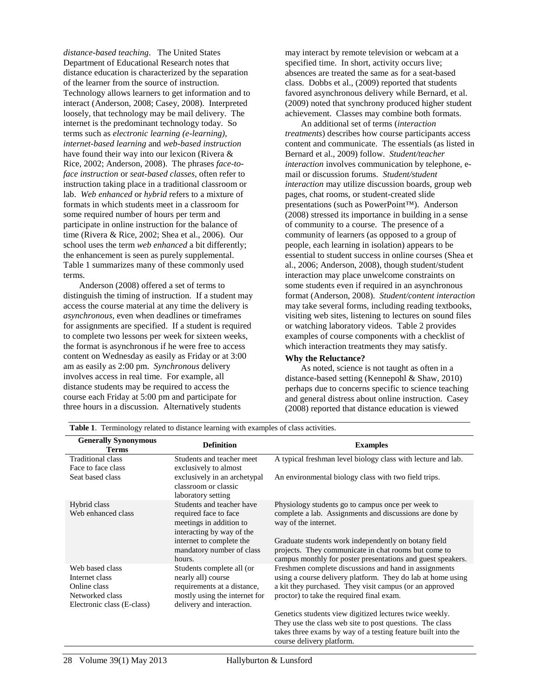*distance-based teaching*. The United States Department of Educational Research notes that distance education is characterized by the separation of the learner from the source of instruction. Technology allows learners to get information and to interact (Anderson, 2008; Casey, 2008). Interpreted loosely, that technology may be mail delivery. The internet is the predominant technology today. So terms such as *electronic learning (e-learning), internet-based learning* and *web-based instruction*  have found their way into our lexicon (Rivera & Rice, 2002; Anderson, 2008). The phrases *face-toface instruction* or *seat-based classes,* often refer to instruction taking place in a traditional classroom or lab. *Web enhanced* or *hybrid* refers to a mixture of formats in which students meet in a classroom for some required number of hours per term and participate in online instruction for the balance of time (Rivera & Rice, 2002; Shea et al., 2006). Our school uses the term *web enhanced* a bit differently; the enhancement is seen as purely supplemental. Table 1 summarizes many of these commonly used terms.

Anderson (2008) offered a set of terms to distinguish the timing of instruction. If a student may access the course material at any time the delivery is *asynchronous*, even when deadlines or timeframes for assignments are specified. If a student is required to complete two lessons per week for sixteen weeks, the format is asynchronous if he were free to access content on Wednesday as easily as Friday or at 3:00 am as easily as 2:00 pm. *Synchronous* delivery involves access in real time. For example, all distance students may be required to access the course each Friday at 5:00 pm and participate for three hours in a discussion. Alternatively students

may interact by remote television or webcam at a specified time. In short, activity occurs live; absences are treated the same as for a seat-based class. Dobbs et al., (2009) reported that students favored asynchronous delivery while Bernard, et al. (2009) noted that synchrony produced higher student achievement. Classes may combine both formats.

An additional set of terms (*interaction treatments*) describes how course participants access content and communicate. The essentials (as listed in Bernard et al., 2009) follow. *Student/teacher interaction* involves communication by telephone, email or discussion forums. *Student/student interaction* may utilize discussion boards, group web pages, chat rooms, or student-created slide presentations (such as PowerPoint™). Anderson (2008) stressed its importance in building in a sense of community to a course. The presence of a community of learners (as opposed to a group of people, each learning in isolation) appears to be essential to student success in online courses (Shea et al., 2006; Anderson, 2008), though student/student interaction may place unwelcome constraints on some students even if required in an asynchronous format (Anderson, 2008). *Student/content interaction* may take several forms, including reading textbooks, visiting web sites, listening to lectures on sound files or watching laboratory videos. Table 2 provides examples of course components with a checklist of which interaction treatments they may satisfy.

# **Why the Reluctance?**

As noted, science is not taught as often in a distance-based setting (Kennepohl & Shaw, 2010) perhaps due to concerns specific to science teaching and general distress about online instruction. Casey (2008) reported that distance education is viewed

| <b>Generally Synonymous</b><br><b>Terms</b>                                                        | <b>Definition</b>                                                                                                                            | <b>Examples</b>                                                                                                                                                                                                              |
|----------------------------------------------------------------------------------------------------|----------------------------------------------------------------------------------------------------------------------------------------------|------------------------------------------------------------------------------------------------------------------------------------------------------------------------------------------------------------------------------|
| Traditional class<br>Face to face class                                                            | Students and teacher meet<br>exclusively to almost                                                                                           | A typical freshman level biology class with lecture and lab.                                                                                                                                                                 |
| Seat based class                                                                                   | exclusively in an archetypal<br>classroom or classic<br>laboratory setting                                                                   | An environmental biology class with two field trips.                                                                                                                                                                         |
| Hybrid class<br>Web enhanced class                                                                 | Students and teacher have<br>required face to face<br>meetings in addition to<br>interacting by way of the                                   | Physiology students go to campus once per week to<br>complete a lab. Assignments and discussions are done by<br>way of the internet.                                                                                         |
|                                                                                                    | internet to complete the<br>mandatory number of class<br>hours.                                                                              | Graduate students work independently on botany field<br>projects. They communicate in chat rooms but come to<br>campus monthly for poster presentations and guest speakers.                                                  |
| Web based class<br>Internet class<br>Online class<br>Networked class<br>Electronic class (E-class) | Students complete all (or<br>nearly all) course<br>requirements at a distance,<br>mostly using the internet for<br>delivery and interaction. | Freshmen complete discussions and hand in assignments<br>using a course delivery platform. They do lab at home using<br>a kit they purchased. They visit campus (or an approved<br>proctor) to take the required final exam. |
|                                                                                                    |                                                                                                                                              | Genetics students view digitized lectures twice weekly.<br>They use the class web site to post questions. The class<br>takes three exams by way of a testing feature built into the<br>course delivery platform.             |

**Table 1**. Terminology related to distance learning with examples of class activities.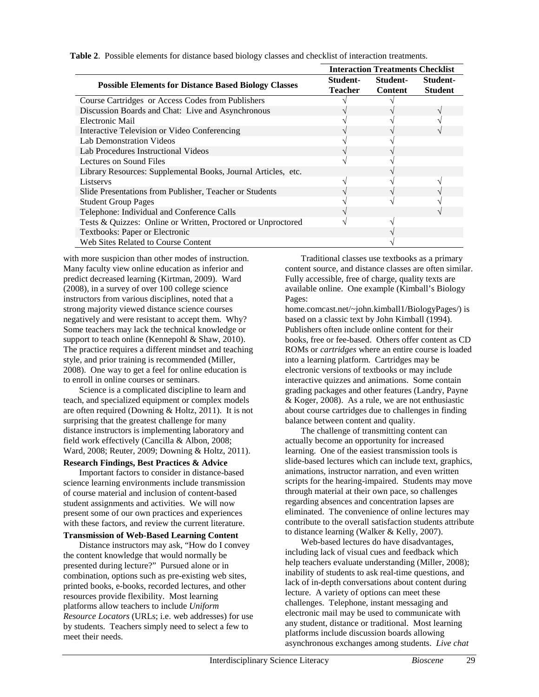|                                                               | <b>Interaction Treatments Checklist</b> |                     |                            |
|---------------------------------------------------------------|-----------------------------------------|---------------------|----------------------------|
| <b>Possible Elements for Distance Based Biology Classes</b>   | Student-<br>Teacher                     | Student-<br>Content | Student-<br><b>Student</b> |
| Course Cartridges or Access Codes from Publishers             |                                         |                     |                            |
| Discussion Boards and Chat: Live and Asynchronous             |                                         |                     |                            |
| Electronic Mail                                               |                                         |                     |                            |
| Interactive Television or Video Conferencing                  |                                         |                     |                            |
| Lab Demonstration Videos                                      |                                         |                     |                            |
| Lab Procedures Instructional Videos                           |                                         |                     |                            |
| Lectures on Sound Files                                       |                                         |                     |                            |
| Library Resources: Supplemental Books, Journal Articles, etc. |                                         |                     |                            |
| Listservs                                                     |                                         |                     |                            |
| Slide Presentations from Publisher, Teacher or Students       |                                         |                     |                            |
| <b>Student Group Pages</b>                                    |                                         |                     |                            |
| Telephone: Individual and Conference Calls                    |                                         |                     |                            |
| Tests & Quizzes: Online or Written, Proctored or Unproctored  |                                         |                     |                            |
| Textbooks: Paper or Electronic                                |                                         |                     |                            |
| Web Sites Related to Course Content                           |                                         |                     |                            |

**Table 2**. Possible elements for distance based biology classes and checklist of interaction treatments.

with more suspicion than other modes of instruction. Many faculty view online education as inferior and predict decreased learning (Kirtman, 2009). Ward (2008), in a survey of over 100 college science instructors from various disciplines, noted that a strong majority viewed distance science courses negatively and were resistant to accept them. Why? Some teachers may lack the technical knowledge or support to teach online (Kennepohl & Shaw, 2010). The practice requires a different mindset and teaching style, and prior training is recommended (Miller, 2008). One way to get a feel for online education is to enroll in online courses or seminars.

Science is a complicated discipline to learn and teach, and specialized equipment or complex models are often required (Downing & Holtz, 2011). It is not surprising that the greatest challenge for many distance instructors is implementing laboratory and field work effectively (Cancilla & Albon, 2008; Ward, 2008; Reuter, 2009; Downing & Holtz, 2011).

#### **Research Findings, Best Practices & Advice**

Important factors to consider in distance-based science learning environments include transmission of course material and inclusion of content-based student assignments and activities. We will now present some of our own practices and experiences with these factors, and review the current literature.

# **Transmission of Web-Based Learning Content**

Distance instructors may ask, "How do I convey the content knowledge that would normally be presented during lecture?" Pursued alone or in combination, options such as pre-existing web sites, printed books, e-books, recorded lectures, and other resources provide flexibility. Most learning platforms allow teachers to include *Uniform Resource Locators* (URLs; i.e. web addresses) for use by students. Teachers simply need to select a few to meet their needs.

Traditional classes use textbooks as a primary content source, and distance classes are often similar. Fully accessible, free of charge, quality texts are available online. One example (Kimball's Biology Pages:

home.comcast.net/~john.kimball1/BiologyPages/) is based on a classic text by John Kimball (1994). Publishers often include online content for their books, free or fee-based. Others offer content as CD ROMs or *cartridges* where an entire course is loaded into a learning platform. Cartridges may be electronic versions of textbooks or may include interactive quizzes and animations. Some contain grading packages and other features (Landry, Payne & Koger, 2008). As a rule, we are not enthusiastic about course cartridges due to challenges in finding balance between content and quality.

The challenge of transmitting content can actually become an opportunity for increased learning. One of the easiest transmission tools is slide-based lectures which can include text, graphics, animations, instructor narration, and even written scripts for the hearing-impaired. Students may move through material at their own pace, so challenges regarding absences and concentration lapses are eliminated. The convenience of online lectures may contribute to the overall satisfaction students attribute to distance learning (Walker & Kelly, 2007).

Web-based lectures do have disadvantages, including lack of visual cues and feedback which help teachers evaluate understanding (Miller, 2008); inability of students to ask real-time questions, and lack of in-depth conversations about content during lecture. A variety of options can meet these challenges. Telephone, instant messaging and electronic mail may be used to communicate with any student, distance or traditional. Most learning platforms include discussion boards allowing asynchronous exchanges among students. *Live chat*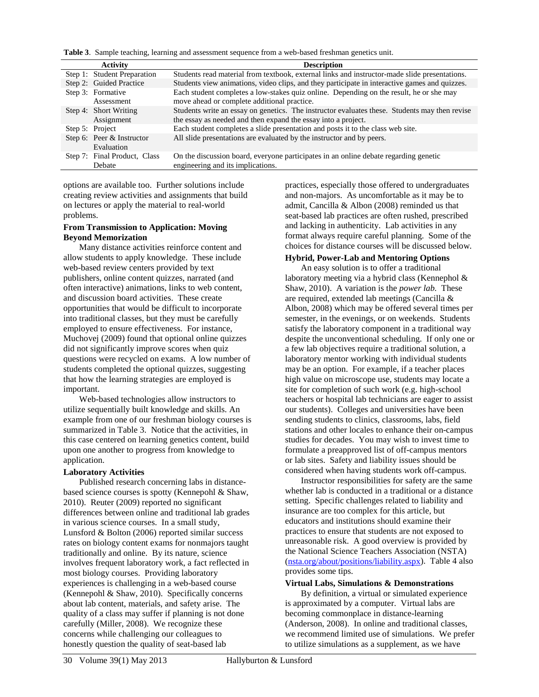**Table 3**. Sample teaching, learning and assessment sequence from a web-based freshman genetics unit.

| <b>Activity</b>                         | <b>Description</b>                                                                                                                                             |  |  |
|-----------------------------------------|----------------------------------------------------------------------------------------------------------------------------------------------------------------|--|--|
| Step 1: Student Preparation             | Students read material from textbook, external links and instructor-made slide presentations.                                                                  |  |  |
| Step 2: Guided Practice                 | Students view animations, video clips, and they participate in interactive games and quizzes.                                                                  |  |  |
| Step 3: Formative<br>Assessment         | Each student completes a low-stakes quiz online. Depending on the result, he or she may<br>move ahead or complete additional practice.                         |  |  |
| Step 4: Short Writing<br>Assignment     | Students write an essay on genetics. The instructor evaluates these. Students may then revise<br>the essay as needed and then expand the essay into a project. |  |  |
| Step 5: Project                         | Each student completes a slide presentation and posts it to the class web site.                                                                                |  |  |
| Step 6: Peer & Instructor<br>Evaluation | All slide presentations are evaluated by the instructor and by peers.                                                                                          |  |  |
| Step 7: Final Product, Class<br>Debate  | On the discussion board, everyone participates in an online debate regarding genetic<br>engineering and its implications.                                      |  |  |

options are available too. Further solutions include creating review activities and assignments that build on lectures or apply the material to real-world problems.

#### **From Transmission to Application: Moving Beyond Memorization**

Many distance activities reinforce content and allow students to apply knowledge. These include web-based review centers provided by text publishers, online content quizzes, narrated (and often interactive) animations, links to web content, and discussion board activities. These create opportunities that would be difficult to incorporate into traditional classes, but they must be carefully employed to ensure effectiveness. For instance, Muchovej (2009) found that optional online quizzes did not significantly improve scores when quiz questions were recycled on exams. A low number of students completed the optional quizzes, suggesting that how the learning strategies are employed is important.

Web-based technologies allow instructors to utilize sequentially built knowledge and skills. An example from one of our freshman biology courses is summarized in Table 3. Notice that the activities, in this case centered on learning genetics content, build upon one another to progress from knowledge to application.

# **Laboratory Activities**

Published research concerning labs in distancebased science courses is spotty (Kennepohl & Shaw, 2010). Reuter (2009) reported no significant differences between online and traditional lab grades in various science courses. In a small study, Lunsford & Bolton (2006) reported similar success rates on biology content exams for nonmajors taught traditionally and online. By its nature, science involves frequent laboratory work, a fact reflected in most biology courses. Providing laboratory experiences is challenging in a web-based course (Kennepohl & Shaw, 2010). Specifically concerns about lab content, materials, and safety arise. The quality of a class may suffer if planning is not done carefully (Miller, 2008). We recognize these concerns while challenging our colleagues to honestly question the quality of seat-based lab

practices, especially those offered to undergraduates and non-majors. As uncomfortable as it may be to admit, Cancilla & Albon (2008) reminded us that seat-based lab practices are often rushed, prescribed and lacking in authenticity. Lab activities in any format always require careful planning. Some of the choices for distance courses will be discussed below.

#### **Hybrid, Power-Lab and Mentoring Options**

An easy solution is to offer a traditional laboratory meeting via a hybrid class (Kennephol & Shaw, 2010). A variation is the *power lab.* These are required, extended lab meetings (Cancilla & Albon, 2008) which may be offered several times per semester, in the evenings, or on weekends. Students satisfy the laboratory component in a traditional way despite the unconventional scheduling. If only one or a few lab objectives require a traditional solution, a laboratory mentor working with individual students may be an option. For example, if a teacher places high value on microscope use, students may locate a site for completion of such work (e.g. high-school teachers or hospital lab technicians are eager to assist our students). Colleges and universities have been sending students to clinics, classrooms, labs, field stations and other locales to enhance their on-campus studies for decades. You may wish to invest time to formulate a preapproved list of off-campus mentors or lab sites. Safety and liability issues should be considered when having students work off-campus.

Instructor responsibilities for safety are the same whether lab is conducted in a traditional or a distance setting. Specific challenges related to liability and insurance are too complex for this article, but educators and institutions should examine their practices to ensure that students are not exposed to unreasonable risk. A good overview is provided by the National Science Teachers Association (NSTA) [\(nsta.org/about/positions/liability.aspx\)](http://www.nsta.org/about/positions/liability.aspx). Table 4 also provides some tips.

# **Virtual Labs, Simulations & Demonstrations**

By definition, a virtual or simulated experience is approximated by a computer. Virtual labs are becoming commonplace in distance-learning (Anderson, 2008). In online and traditional classes, we recommend limited use of simulations. We prefer to utilize simulations as a supplement, as we have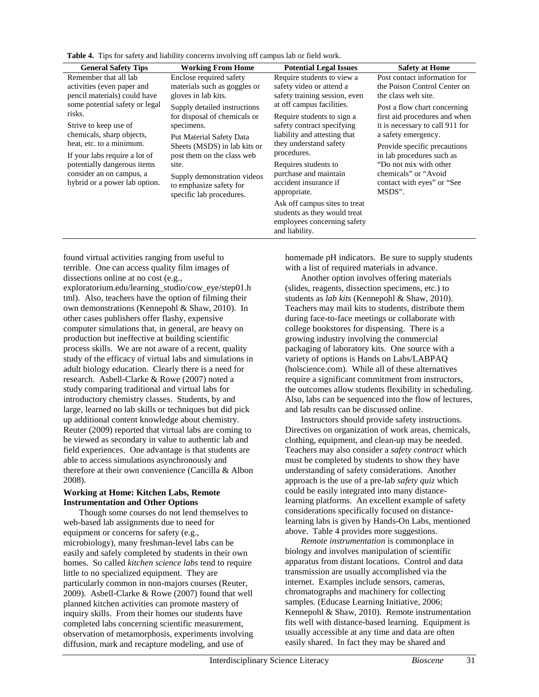**Table 4.** Tips for safety and liability concerns involving off campus lab or field work.

| <b>General Safety Tips</b>                                                                                                                                                                                                                              | <b>Working From Home</b>                                                                                                                                                                                                                                            | <b>Potential Legal Issues</b>                                                                                                                                                                                                                            | <b>Safety at Home</b>                                                                                                                                                                                                                                                          |
|---------------------------------------------------------------------------------------------------------------------------------------------------------------------------------------------------------------------------------------------------------|---------------------------------------------------------------------------------------------------------------------------------------------------------------------------------------------------------------------------------------------------------------------|----------------------------------------------------------------------------------------------------------------------------------------------------------------------------------------------------------------------------------------------------------|--------------------------------------------------------------------------------------------------------------------------------------------------------------------------------------------------------------------------------------------------------------------------------|
| Remember that all lab<br>activities (even paper and<br>pencil materials) could have                                                                                                                                                                     | Enclose required safety<br>materials such as goggles or<br>gloves in lab kits.                                                                                                                                                                                      | Require students to view a<br>safety video or attend a<br>safety training session, even                                                                                                                                                                  | Post contact information for<br>the Poison Control Center on<br>the class web site.                                                                                                                                                                                            |
| some potential safety or legal<br>risks.<br>Strive to keep use of<br>chemicals, sharp objects,<br>heat, etc. to a minimum.<br>If your labs require a lot of<br>potentially dangerous items<br>consider an on campus, a<br>hybrid or a power lab option. | Supply detailed instructions<br>for disposal of chemicals or<br>specimens.<br>Put Material Safety Data<br>Sheets (MSDS) in lab kits or<br>post them on the class web<br>site.<br>Supply demonstration videos<br>to emphasize safety for<br>specific lab procedures. | at off campus facilities.<br>Require students to sign a<br>safety contract specifying<br>liability and attesting that<br>they understand safety<br>procedures.<br>Requires students to<br>purchase and maintain<br>accident insurance if<br>appropriate. | Post a flow chart concerning<br>first aid procedures and when<br>it is necessary to call 911 for<br>a safety emergency.<br>Provide specific precautions<br>in lab procedures such as<br>"Do not mix with other<br>chemicals" or "Avoid<br>contact with eyes" or "See<br>MSDS". |
|                                                                                                                                                                                                                                                         |                                                                                                                                                                                                                                                                     | Ask off campus sites to treat<br>students as they would treat<br>employees concerning safety<br>and liability.                                                                                                                                           |                                                                                                                                                                                                                                                                                |

found virtual activities ranging from useful to terrible. One can access quality film images of dissections online at no cost (e.g.,

exploratorium.edu/learning\_studio/cow\_eye/step01.h tml). Also, teachers have the option of filming their own demonstrations (Kennepohl & Shaw, 2010). In other cases publishers offer flashy, expensive computer simulations that, in general, are heavy on production but ineffective at building scientific process skills. We are not aware of a recent, quality study of the efficacy of virtual labs and simulations in adult biology education. Clearly there is a need for research. Asbell-Clarke & Rowe (2007) noted a study comparing traditional and virtual labs for introductory chemistry classes. Students, by and large, learned no lab skills or techniques but did pick up additional content knowledge about chemistry. Reuter (2009) reported that virtual labs are coming to be viewed as secondary in value to authentic lab and field experiences. One advantage is that students are able to access simulations asynchronously and therefore at their own convenience (Cancilla & Albon 2008).

# **Working at Home: Kitchen Labs, Remote Instrumentation and Other Options**

Though some courses do not lend themselves to web-based lab assignments due to need for equipment or concerns for safety (e.g., microbiology), many freshman-level labs can be easily and safely completed by students in their own homes. So called *kitchen science labs* tend to require little to no specialized equipment. They are particularly common in non-majors courses (Reuter, 2009). Asbell-Clarke & Rowe (2007) found that well planned kitchen activities can promote mastery of inquiry skills. From their homes our students have completed labs concerning scientific measurement, observation of metamorphosis, experiments involving diffusion, mark and recapture modeling, and use of

homemade pH indicators. Be sure to supply students with a list of required materials in advance.

Another option involves offering materials (slides, reagents, dissection specimens, etc.) to students as *lab kits* (Kennepohl & Shaw, 2010). Teachers may mail kits to students, distribute them during face-to-face meetings or collaborate with college bookstores for dispensing. There is a growing industry involving the commercial packaging of laboratory kits. One source with a variety of options is Hands on Labs/LABPAQ (holscience.com). While all of these alternatives require a significant commitment from instructors, the outcomes allow students flexibility in scheduling. Also, labs can be sequenced into the flow of lectures, and lab results can be discussed online.

Instructors should provide safety instructions. Directives on organization of work areas, chemicals, clothing, equipment, and clean-up may be needed. Teachers may also consider a *safety contract* which must be completed by students to show they have understanding of safety considerations. Another approach is the use of a pre-lab *safety quiz* which could be easily integrated into many distancelearning platforms. An excellent example of safety considerations specifically focused on distancelearning labs is given by Hands-On Labs, mentioned above. Table 4 provides more suggestions.

*Remote instrumentation* is commonplace in biology and involves manipulation of scientific apparatus from distant locations. Control and data transmission are usually accomplished via the internet. Examples include sensors, cameras, chromatographs and machinery for collecting samples. (Educase Learning Initiative, 2006; Kennepohl & Shaw, 2010). Remote instrumentation fits well with distance-based learning. Equipment is usually accessible at any time and data are often easily shared. In fact they may be shared and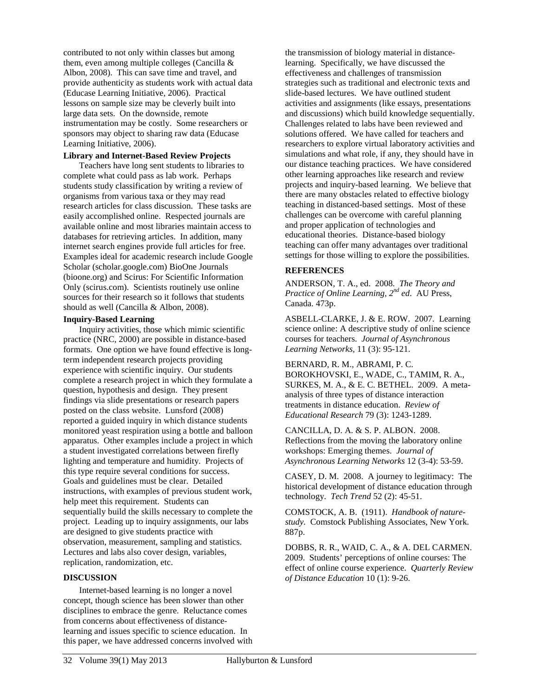contributed to not only within classes but among them, even among multiple colleges (Cancilla & Albon, 2008). This can save time and travel, and provide authenticity as students work with actual data (Educase Learning Initiative, 2006). Practical lessons on sample size may be cleverly built into large data sets. On the downside, remote instrumentation may be costly. Some researchers or sponsors may object to sharing raw data (Educase Learning Initiative, 2006).

# **Library and Internet-Based Review Projects**

Teachers have long sent students to libraries to complete what could pass as lab work. Perhaps students study classification by writing a review of organisms from various taxa or they may read research articles for class discussion. These tasks are easily accomplished online. Respected journals are available online and most libraries maintain access to databases for retrieving articles. In addition, many internet search engines provide full articles for free. Examples ideal for academic research include Google Scholar (scholar.google.com) BioOne Journals (bioone.org) and Scirus: For Scientific Information Only (scirus.com). Scientists routinely use online sources for their research so it follows that students should as well (Cancilla & Albon, 2008).

#### **Inquiry-Based Learning**

Inquiry activities, those which mimic scientific practice (NRC, 2000) are possible in distance-based formats. One option we have found effective is longterm independent research projects providing experience with scientific inquiry. Our students complete a research project in which they formulate a question, hypothesis and design. They present findings via slide presentations or research papers posted on the class website. Lunsford (2008) reported a guided inquiry in which distance students monitored yeast respiration using a bottle and balloon apparatus. Other examples include a project in which a student investigated correlations between firefly lighting and temperature and humidity. Projects of this type require several conditions for success. Goals and guidelines must be clear. Detailed instructions, with examples of previous student work, help meet this requirement. Students can sequentially build the skills necessary to complete the project. Leading up to inquiry assignments, our labs are designed to give students practice with observation, measurement, sampling and statistics. Lectures and labs also cover design, variables, replication, randomization, etc.

#### **DISCUSSION**

Internet-based learning is no longer a novel concept, though science has been slower than other disciplines to embrace the genre. Reluctance comes from concerns about effectiveness of distancelearning and issues specific to science education. In this paper, we have addressed concerns involved with

the transmission of biology material in distancelearning. Specifically, we have discussed the effectiveness and challenges of transmission strategies such as traditional and electronic texts and slide-based lectures. We have outlined student activities and assignments (like essays, presentations and discussions) which build knowledge sequentially. Challenges related to labs have been reviewed and solutions offered. We have called for teachers and researchers to explore virtual laboratory activities and simulations and what role, if any, they should have in our distance teaching practices. We have considered other learning approaches like research and review projects and inquiry-based learning. We believe that there are many obstacles related to effective biology teaching in distanced-based settings. Most of these challenges can be overcome with careful planning and proper application of technologies and educational theories. Distance-based biology teaching can offer many advantages over traditional settings for those willing to explore the possibilities.

# **REFERENCES**

ANDERSON, T. A., ed. 2008. *The Theory and Practice of Online Learning, 2nd ed*. AU Press, Canada. 473p.

ASBELL-CLARKE, J. & E. ROW. 2007. Learning science online: A descriptive study of online science courses for teachers. *Journal of Asynchronous Learning Networks,* 11 (3): 95-121.

BERNARD, R. M., ABRAMI, P. C. BOROKHOVSKI, E., WADE, C., TAMIM, R. A., SURKES, M. A., & E. C. BETHEL. 2009. A metaanalysis of three types of distance interaction treatments in distance education. *Review of Educational Research* 79 (3): 1243-1289.

CANCILLA, D. A. & S. P. ALBON. 2008. Reflections from the moving the laboratory online workshops: Emerging themes. *Journal of Asynchronous Learning Networks* 12 (3-4): 53-59.

CASEY, D. M. 2008. A journey to legitimacy: The historical development of distance education through technology. *Tech Trend* 52 (2): 45-51.

COMSTOCK, A. B. (1911). *Handbook of naturestudy.* Comstock Publishing Associates, New York. 887p.

DOBBS, R. R., WAID, C. A., & A. DEL CARMEN. 2009. Students' perceptions of online courses: The effect of online course experience. *Quarterly Review of Distance Education* 10 (1): 9-26.